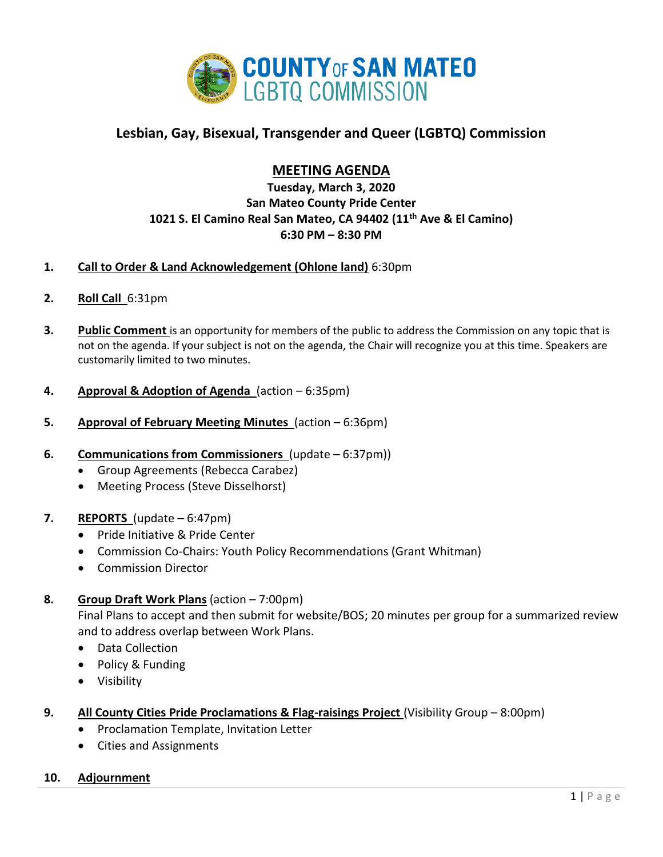

# **Lesbian, Gay, Bisexual, Transgender and Queer (LGBTQ) Commission**

# **MEETING AGENDA**

## **Tuesday, March 3, 2020 San Mateo County Pride Center 1021 S. El Camino Real San Mateo, CA 94402 (11th Ave & El Camino) 6:30 PM – 8:30 PM**

### **1. Call to Order & Land Acknowledgement (Ohlone land)** 6:30pm

- **2. Roll Call** 6:31pm
- **3. Public Comment** is an opportunity for members of the public to address the Commission on any topic that is not on the agenda. If your subject is not on the agenda, the Chair will recognize you at this time. Speakers are customarily limited to two minutes.
- **4. Approval & Adoption of Agenda** (action 6:35pm)
- **5. Approval of February Meeting Minutes** (action 6:36pm)
- **6. Communications from Commissioners** (update 6:37pm))
	- Group Agreements (Rebecca Carabez)
	- Meeting Process (Steve Disselhorst)

#### **7. REPORTS** (update – 6:47pm)

- Pride Initiative & Pride Center
- Commission Co-Chairs: Youth Policy Recommendations (Grant Whitman)
- Commission Director

#### **8. Group Draft Work Plans** (action – 7:00pm)

Final Plans to accept and then submit for website/BOS; 20 minutes per group for a summarized review and to address overlap between Work Plans.

- Data Collection
- Policy & Funding
- Visibility

### **9. All County Cities Pride Proclamations & Flag-raisings Project** (Visibility Group – 8:00pm)

- Proclamation Template, Invitation Letter
- Cities and Assignments

#### **10. Adjournment**